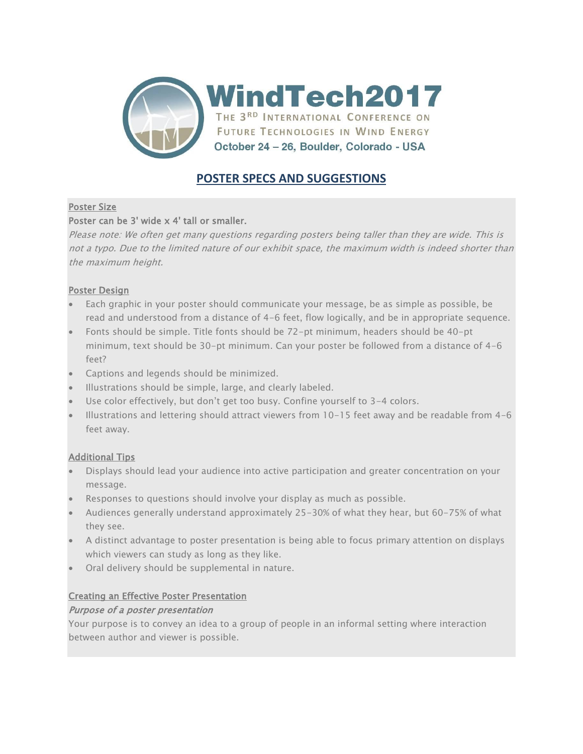

# **POSTER SPECS AND SUGGESTIONS**

# Poster Size

# Poster can be 3' wide x 4' tall or smaller.

Please note: We often get many questions regarding posters being taller than they are wide. This is not a typo. Due to the limited nature of our exhibit space, the maximum width is indeed shorter than the maximum height.

# Poster Design

- Each graphic in your poster should communicate your message, be as simple as possible, be read and understood from a distance of 4-6 feet, flow logically, and be in appropriate sequence.
- Fonts should be simple. Title fonts should be 72-pt minimum, headers should be 40-pt minimum, text should be 30-pt minimum. Can your poster be followed from a distance of 4-6 feet?
- Captions and legends should be minimized.
- Illustrations should be simple, large, and clearly labeled.
- Use color effectively, but don't get too busy. Confine yourself to 3-4 colors.
- Illustrations and lettering should attract viewers from 10-15 feet away and be readable from 4-6 feet away.

# Additional Tips

- Displays should lead your audience into active participation and greater concentration on your message.
- Responses to questions should involve your display as much as possible.
- Audiences generally understand approximately 25-30% of what they hear, but 60-75% of what they see.
- A distinct advantage to poster presentation is being able to focus primary attention on displays which viewers can study as long as they like.
- Oral delivery should be supplemental in nature.

# Creating an Effective Poster Presentation

# Purpose of a poster presentation

Your purpose is to convey an idea to a group of people in an informal setting where interaction between author and viewer is possible.